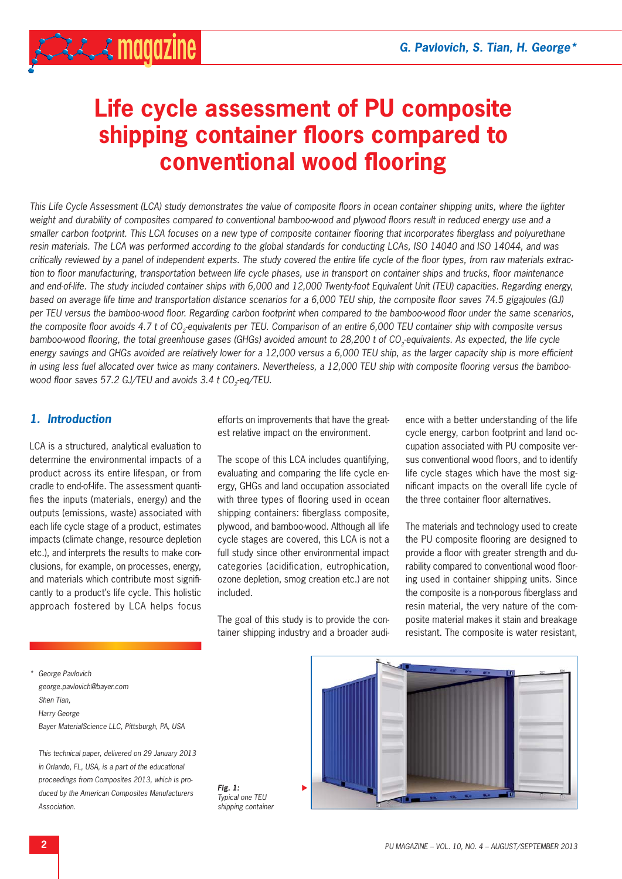$222.3$  magazine

# **Life cycle assessment of PU composite shipping container floors compared to conventional wood flooring**

*This Life Cycle Assessment (LCA) study demonstrates the value of composite floors in ocean container shipping units, where the lighter weight and durability of composites compared to conventional bamboo-wood and plywood floors result in reduced energy use and a* smaller carbon footprint. This LCA focuses on a new type of composite container flooring that incorporates fiberglass and polyurethane *resin materials. The LCA was performed according to the global standards for conducting LCAs, ISO 14040 and ISO 14044, and was critically reviewed by a panel of independent experts. The study covered the entire life cycle of the floor types, from raw materials extrac*tion to floor manufacturing, transportation between life cycle phases, use in transport on container ships and trucks, floor maintenance *and end-of-life. The study included container ships with 6,000 and 12,000 Twenty-foot Equivalent Unit (TEU) capacities. Regarding energy, based on average life time and transportation distance scenarios for a 6,000 TEU ship, the composite floor saves 74.5 gigajoules (GJ) per TEU versus the bamboo-wood floor. Regarding carbon footprint when compared to the bamboo-wood floor under the same scenarios, the composite floor avoids 4.7 t of CO<sub>3</sub>-equivalents per TEU. Comparison of an entire 6,000 TEU container ship with composite versus bamboo-wood flooring, the total greenhouse gases (GHGs) avoided amount to 28,200 t of CO<sub>2</sub>-equivalents. As expected, the life cycle energy savings and GHGs avoided are relatively lower for a 12,000 versus a 6,000 TEU ship, as the larger capacity ship is more efficient* in using less fuel allocated over twice as many containers. Nevertheless, a 12,000 TEU ship with composite flooring versus the bamboo*wood floor saves 57.2 GJ/TEU and avoids 3.4 t CO<sub>2</sub>-eq/TEU.* 

# *1. Introduction*

LCA is a structured, analytical evaluation to determine the environmental impacts of a product across its entire lifespan, or from cradle to end-of-life. The assessment quantifies the inputs (materials, energy) and the outputs (emissions, waste) associated with each life cycle stage of a product, estimates impacts (climate change, resource depletion etc.), and interprets the results to make conclusions, for example, on processes, energy, and materials which contribute most significantly to a product's life cycle. This holistic approach fostered by LCA helps focus

efforts on improvements that have the greatest relative impact on the environment.

The scope of this LCA includes quantifying, evaluating and comparing the life cycle energy, GHGs and land occupation associated with three types of flooring used in ocean shipping containers: fiberglass composite, plywood, and bamboo-wood. Although all life cycle stages are covered, this LCA is not a full study since other environmental impact categories (acidification, eutrophication, ozone depletion, smog creation etc.) are not included.

The goal of this study is to provide the container shipping industry and a broader audi-

ence with a better understanding of the life cycle energy, carbon footprint and land occupation associated with PU composite versus conventional wood floors, and to identify life cycle stages which have the most significant impacts on the overall life cycle of the three container floor alternatives.

The materials and technology used to create the PU composite flooring are designed to provide a floor with greater strength and durability compared to conventional wood flooring used in container shipping units. Since the composite is a non-porous fiberglass and resin material, the very nature of the composite material makes it stain and breakage resistant. The composite is water resistant,

*\* George Pavlovich george.pavlovich@bayer.com Shen Tian, Harry George Bayer MaterialScience LLC, Pittsburgh, PA, USA*

 *This technical paper, delivered on 29 January 2013 in Orlando, FL, USA, is a part of the educational proceedings from Composites 2013, which is produced by the American Composites Manufacturers Association.*

*Fig. 1: Typical one TEU shipping container*

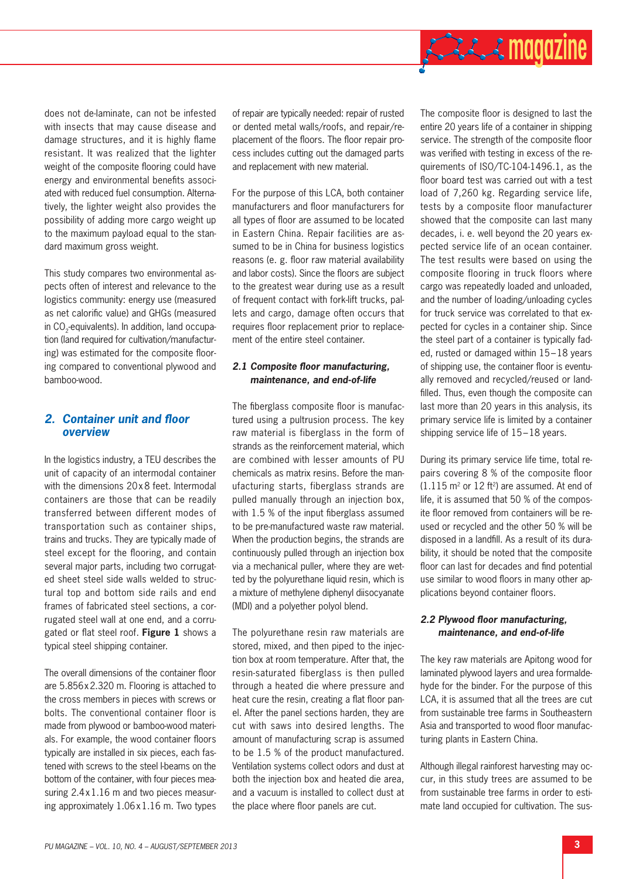

does not de-laminate, can not be infested with insects that may cause disease and damage structures, and it is highly flame resistant. It was realized that the lighter weight of the composite flooring could have energy and environmental benefits associated with reduced fuel consumption. Alternatively, the lighter weight also provides the possibility of adding more cargo weight up to the maximum payload equal to the standard maximum gross weight.

This study compares two environmental aspects often of interest and relevance to the logistics community: energy use (measured as net calorific value) and GHGs (measured in CO<sub>2</sub>-equivalents). In addition, land occupation (land required for cultivation/manufacturing) was estimated for the composite flooring compared to conventional plywood and bamboo-wood.

# **2. Container unit and floor** *overview*

In the logistics industry, a TEU describes the unit of capacity of an intermodal container with the dimensions 20 x 8 feet. Intermodal containers are those that can be readily transferred between different modes of transportation such as container ships, trains and trucks. They are typically made of steel except for the flooring, and contain several major parts, including two corrugated sheet steel side walls welded to structural top and bottom side rails and end frames of fabricated steel sections, a corrugated steel wall at one end, and a corrugated or flat steel roof. Figure 1 shows a typical steel shipping container.

The overall dimensions of the container floor are 5.856 x 2.320 m. Flooring is attached to the cross members in pieces with screws or bolts. The conventional container floor is made from plywood or bamboo-wood materials. For example, the wood container floors typically are installed in six pieces, each fastened with screws to the steel I-beams on the bottom of the container, with four pieces measuring 2.4 x 1.16 m and two pieces measuring approximately 1.06 x 1.16 m. Two types

of repair are typically needed: repair of rusted or dented metal walls/roofs, and repair/replacement of the floors. The floor repair process includes cutting out the damaged parts and replacement with new material.

For the purpose of this LCA, both container manufacturers and floor manufacturers for all types of floor are assumed to be located in Eastern China. Repair facilities are assumed to be in China for business logistics reasons (e. g. floor raw material availability and labor costs). Since the floors are subject to the greatest wear during use as a result of frequent contact with fork-lift trucks, pallets and cargo, damage often occurs that requires floor replacement prior to replacement of the entire steel container.

#### **2.1 Composite floor manufacturing.** *maintenance, and end-of-life*

The fiberglass composite floor is manufactured using a pultrusion process. The key raw material is fiberglass in the form of strands as the reinforcement material, which are combined with lesser amounts of PU chemicals as matrix resins. Before the manufacturing starts, fiberglass strands are pulled manually through an injection box, with  $1.5$  % of the input fiberglass assumed to be pre-manufactured waste raw material. When the production begins, the strands are continuously pulled through an injection box via a mechanical puller, where they are wetted by the polyurethane liquid resin, which is a mixture of methylene diphenyl diisocyanate (MDI) and a polyether polyol blend.

The polyurethane resin raw materials are stored, mixed, and then piped to the injection box at room temperature. After that, the resin-saturated fiberglass is then pulled through a heated die where pressure and heat cure the resin, creating a flat floor panel. After the panel sections harden, they are cut with saws into desired lengths. The amount of manufacturing scrap is assumed to be 1.5 % of the product manufactured. Ventilation systems collect odors and dust at both the injection box and heated die area, and a vacuum is installed to collect dust at the place where floor panels are cut.

The composite floor is designed to last the entire 20 years life of a container in shipping service. The strength of the composite floor was verified with testing in excess of the requirements of ISO/TC-104-1496.1, as the floor board test was carried out with a test load of 7,260 kg. Regarding service life, tests by a composite floor manufacturer showed that the composite can last many decades, i. e. well beyond the 20 years expected service life of an ocean container. The test results were based on using the composite flooring in truck floors where cargo was repeatedly loaded and unloaded, and the number of loading/unloading cycles for truck service was correlated to that expected for cycles in a container ship. Since the steel part of a container is typically faded, rusted or damaged within 15 – 18 years of shipping use, the container floor is eventually removed and recycled/reused or landfilled. Thus, even though the composite can last more than 20 years in this analysis, its primary service life is limited by a container shipping service life of 15–18 years.

During its primary service life time, total repairs covering 8 % of the composite floor  $(1.115 \text{ m}^2 \text{ or } 12 \text{ ft}^2)$  are assumed. At end of life, it is assumed that 50 % of the composite floor removed from containers will be reused or recycled and the other 50 % will be disposed in a landfill. As a result of its durability, it should be noted that the composite floor can last for decades and find potential use similar to wood floors in many other applications beyond container floors.

#### 2.2 Plywood floor manufacturing, *maintenance, and end-of-life*

The key raw materials are Apitong wood for laminated plywood layers and urea formaldehyde for the binder. For the purpose of this LCA, it is assumed that all the trees are cut from sustainable tree farms in Southeastern Asia and transported to wood floor manufacturing plants in Eastern China.

Although illegal rainforest harvesting may occur, in this study trees are assumed to be from sustainable tree farms in order to estimate land occupied for cultivation. The sus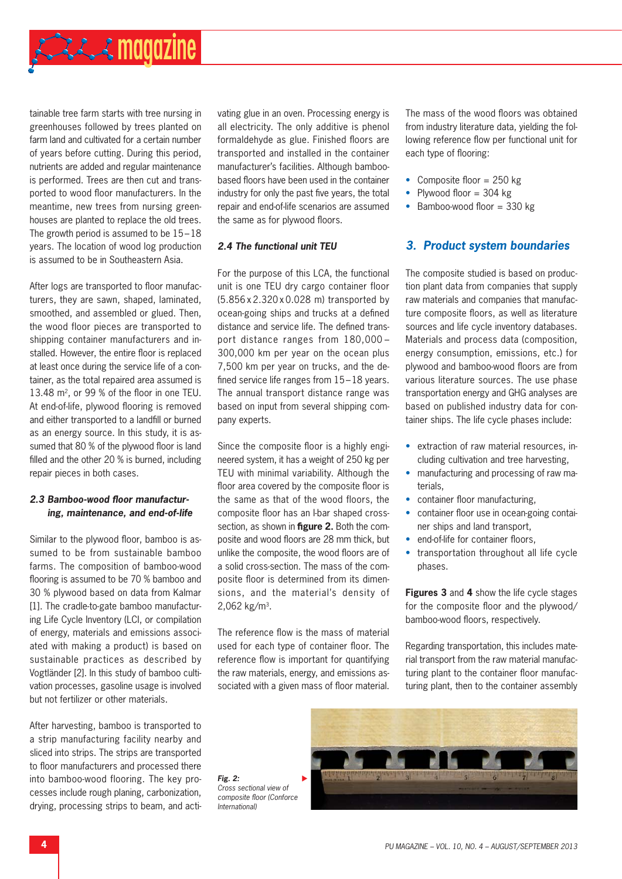tainable tree farm starts with tree nursing in greenhouses followed by trees planted on farm land and cultivated for a certain number of years before cutting. During this period, nutrients are added and regular maintenance is performed. Trees are then cut and transported to wood floor manufacturers. In the meantime, new trees from nursing greenhouses are planted to replace the old trees. The growth period is assumed to be  $15-18$ years. The location of wood log production is assumed to be in Southeastern Asia.

After logs are transported to floor manufacturers, they are sawn, shaped, laminated, smoothed, and assembled or glued. Then, the wood floor pieces are transported to shipping container manufacturers and installed. However, the entire floor is replaced at least once during the service life of a container, as the total repaired area assumed is  $13.48$  m<sup>2</sup>, or 99 % of the floor in one TEU. At end-of-life, plywood flooring is removed and either transported to a landfill or burned as an energy source. In this study, it is assumed that 80 % of the plywood floor is land filled and the other 20  $%$  is burned, including repair pieces in both cases.

## 2.3 Bamboo-wood floor manufactur*ing, maintenance, and end-of-life*

Similar to the plywood floor, bamboo is assumed to be from sustainable bamboo farms. The composition of bamboo-wood flooring is assumed to be 70 % bamboo and 30 % plywood based on data from Kalmar [1]. The cradle-to-gate bamboo manufacturing Life Cycle Inventory (LCI, or compilation of energy, materials and emissions associated with making a product) is based on sustainable practices as described by Vogtländer [2]. In this study of bamboo cultivation processes, gasoline usage is involved but not fertilizer or other materials.

After harvesting, bamboo is transported to a strip manufacturing facility nearby and sliced into strips. The strips are transported to floor manufacturers and processed there into bamboo-wood flooring. The key processes include rough planing, carbonization, drying, processing strips to beam, and activating glue in an oven. Processing energy is all electricity. The only additive is phenol formaldehyde as glue. Finished floors are transported and installed in the container manufacturer's facilities. Although bamboobased floors have been used in the container industry for only the past five years, the total repair and end-of-life scenarios are assumed the same as for plywood floors.

#### *2.4 The functional unit TEU*

For the purpose of this LCA, the functional unit is one TEU dry cargo container floor (5.856 x 2.320 x 0.028 m) transported by ocean-going ships and trucks at a defined distance and service life. The defined transport distance ranges from 180,000 – 300,000 km per year on the ocean plus 7,500 km per year on trucks, and the defined service life ranges from  $15 - 18$  years. The annual transport distance range was based on input from several shipping company experts.

Since the composite floor is a highly engineered system, it has a weight of 250 kg per TEU with minimal variability. Although the floor area covered by the composite floor is the same as that of the wood floors, the composite floor has an I-bar shaped crosssection, as shown in **figure 2.** Both the composite and wood floors are 28 mm thick, but unlike the composite, the wood floors are of a solid cross-section. The mass of the composite floor is determined from its dimensions, and the material's density of  $2,062$  kg/m<sup>3</sup>.

The reference flow is the mass of material used for each type of container floor. The reference flow is important for quantifying the raw materials, energy, and emissions associated with a given mass of floor material.

The mass of the wood floors was obtained from industry literature data, yielding the following reference flow per functional unit for each type of flooring:

- Composite floor  $= 250$  kg
- Plywood floor  $=$  304 kg
- Bamboo-wood floor  $=$  330 kg

# *3. Product system boundaries*

The composite studied is based on production plant data from companies that supply raw materials and companies that manufacture composite floors, as well as literature sources and life cycle inventory databases. Materials and process data (composition, energy consumption, emissions, etc.) for plywood and bamboo-wood floors are from various literature sources. The use phase transportation energy and GHG analyses are based on published industry data for container ships. The life cycle phases include:

- extraction of raw material resources, including cultivation and tree harvesting,
- manufacturing and processing of raw materials,
- container floor manufacturing,
- container floor use in ocean-going container ships and land transport,
- end-of-life for container floors,
- transportation throughout all life cycle phases.

**Figures 3** and **4** show the life cycle stages for the composite floor and the plywood/ bamboo-wood floors, respectively.

Regarding transportation, this includes material transport from the raw material manufacturing plant to the container floor manufacturing plant, then to the container assembly

*Fig. 2: Cross sectional view of composite fl oor (Conforce International)*

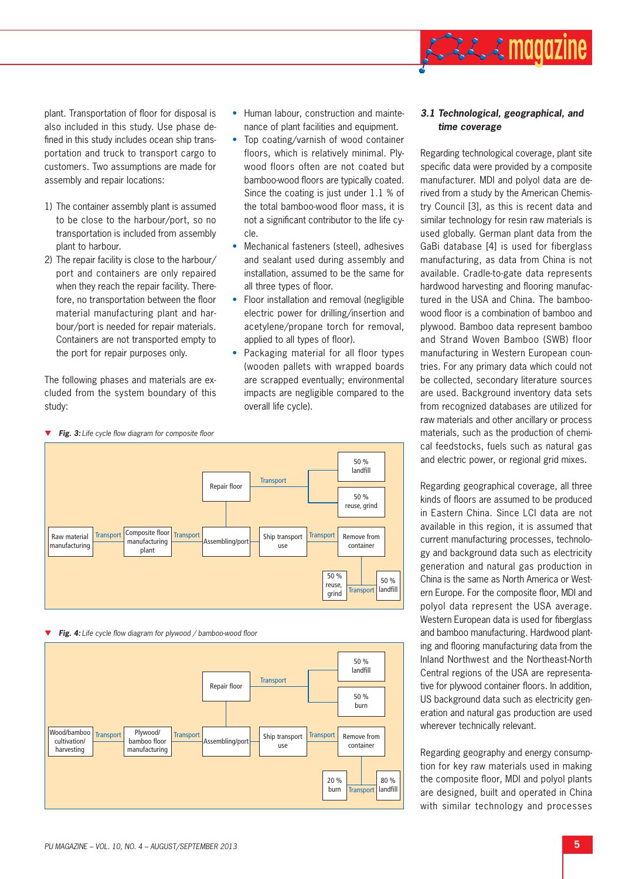plant. Transportation of floor for disposal is also included in this study. Use phase defined in this study includes ocean ship transportation and truck to transport cargo to customers. Two assumptions are made for assembly and repair locations:

- 1) The container assembly plant is assumed to be close to the harbour/port, so no transportation is included from assembly plant to harbour.
- 2) The repair facility is close to the harbour/ port and containers are only repaired when they reach the repair facility. Therefore, no transportation between the floor material manufacturing plant and harbour/port is needed for repair materials. Containers are not transported empty to the port for repair purposes only.

The following phases and materials are excluded from the system boundary of this study:

- Human labour, construction and maintenance of plant facilities and equipment.
- Top coating/varnish of wood container floors, which is relatively minimal. Plywood floors often are not coated but bamboo-wood floors are typically coated. Since the coating is just under 1.1 % of the total bamboo-wood floor mass, it is not a significant contributor to the life cycle.
- Mechanical fasteners (steel), adhesives and sealant used during assembly and installation, assumed to be the same for all three types of floor.
- Floor installation and removal (negligible electric power for drilling/insertion and acetylene/propane torch for removal, applied to all types of floor).
- Packaging material for all floor types (wooden pallets with wrapped boards are scrapped eventually; environmental impacts are negligible compared to the overall life cycle).



*Fig. 4:* Life cycle flow diagram for plywood / bamboo-wood floor



### *3.1 Technological, geographical, and time coverage*

**ALLA magazine** 

Regarding technological coverage, plant site specific data were provided by a composite manufacturer. MDI and polyol data are derived from a study by the American Chemistry Council [3], as this is recent data and similar technology for resin raw materials is used globally. German plant data from the GaBi database [4] is used for fiberglass manufacturing, as data from China is not available. Cradle-to-gate data represents hardwood harvesting and flooring manufactured in the USA and China. The bamboowood floor is a combination of bamboo and plywood. Bamboo data represent bamboo and Strand Woven Bamboo (SWB) floor manufacturing in Western European countries. For any primary data which could not be collected, secondary literature sources are used. Background inventory data sets from recognized databases are utilized for raw materials and other ancillary or process materials, such as the production of chemical feedstocks, fuels such as natural gas and electric power, or regional grid mixes.

Regarding geographical coverage, all three kinds of floors are assumed to be produced in Eastern China. Since LCI data are not available in this region, it is assumed that current manufacturing processes, technology and background data such as electricity generation and natural gas production in China is the same as North America or Western Europe. For the composite floor, MDI and polyol data represent the USA average. Western European data is used for fiberglass and bamboo manufacturing. Hardwood planting and flooring manufacturing data from the Inland Northwest and the Northeast-North Central regions of the USA are representative for plywood container floors. In addition, US background data such as electricity generation and natural gas production are used wherever technically relevant.

Regarding geography and energy consumption for key raw materials used in making the composite floor, MDI and polyol plants are designed, built and operated in China with similar technology and processes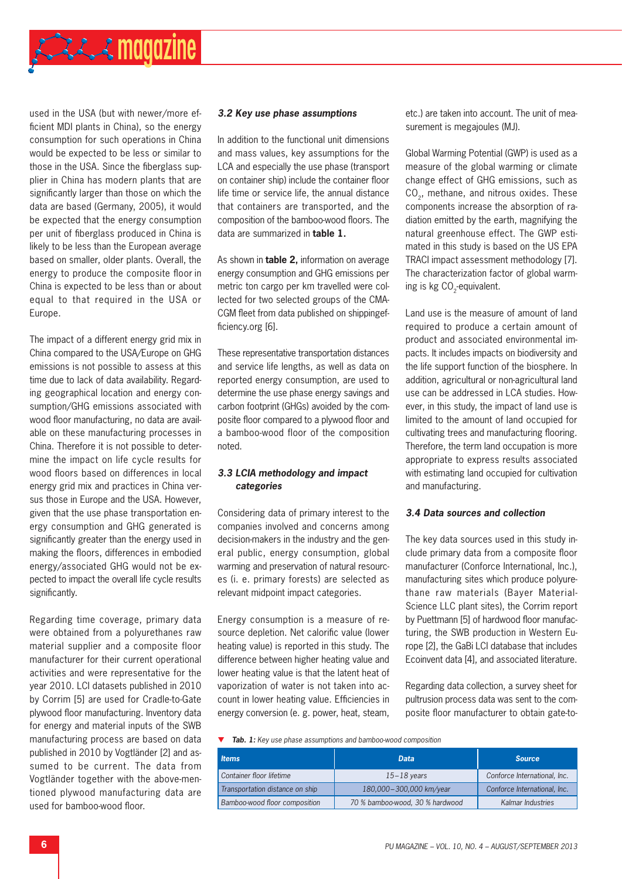

used in the USA (but with newer/more efficient MDI plants in China), so the energy consumption for such operations in China would be expected to be less or similar to those in the USA. Since the fiberglass supplier in China has modern plants that are significantly larger than those on which the data are based (Germany, 2005), it would be expected that the energy consumption per unit of fiberglass produced in China is likely to be less than the European average based on smaller, older plants. Overall, the energy to produce the composite floor in China is expected to be less than or about equal to that required in the USA or Europe.

The impact of a different energy grid mix in China compared to the USA/Europe on GHG emissions is not possible to assess at this time due to lack of data availability. Regarding geographical location and energy consumption/GHG emissions associated with wood floor manufacturing, no data are available on these manufacturing processes in China. Therefore it is not possible to determine the impact on life cycle results for wood floors based on differences in local energy grid mix and practices in China versus those in Europe and the USA. However, given that the use phase transportation energy consumption and GHG generated is significantly greater than the energy used in making the floors, differences in embodied energy/associated GHG would not be expected to impact the overall life cycle results significantly.

Regarding time coverage, primary data were obtained from a polyurethanes raw material supplier and a composite floor manufacturer for their current operational activities and were representative for the year 2010. LCI datasets published in 2010 by Corrim [5] are used for Cradle-to-Gate plywood floor manufacturing. Inventory data for energy and material inputs of the SWB manufacturing process are based on data published in 2010 by Vogtländer [2] and assumed to be current. The data from Vogtländer together with the above-mentioned plywood manufacturing data are used for bamboo-wood floor.

#### *3.2 Key use phase assumptions*

In addition to the functional unit dimensions and mass values, key assumptions for the LCA and especially the use phase (transport on container ship) include the container floor life time or service life, the annual distance that containers are transported, and the composition of the bamboo-wood floors. The data are summarized in **table 1.**

As shown in **table 2,** information on average energy consumption and GHG emissions per metric ton cargo per km travelled were collected for two selected groups of the CMA-CGM fleet from data published on shippingefficiency.org [6].

These representative transportation distances and service life lengths, as well as data on reported energy consumption, are used to determine the use phase energy savings and carbon footprint (GHGs) avoided by the composite floor compared to a plywood floor and a bamboo-wood floor of the composition noted.

#### *3.3 LCIA methodology and impact categories*

Considering data of primary interest to the companies involved and concerns among decision-makers in the industry and the general public, energy consumption, global warming and preservation of natural resources (i. e. primary forests) are selected as relevant midpoint impact categories.

Energy consumption is a measure of resource depletion. Net calorific value (lower heating value) is reported in this study. The difference between higher heating value and lower heating value is that the latent heat of vaporization of water is not taken into account in lower heating value. Efficiencies in energy conversion (e. g. power, heat, steam,

etc.) are taken into account. The unit of measurement is megajoules (MJ).

Global Warming Potential (GWP) is used as a measure of the global warming or climate change effect of GHG emissions, such as CO<sub>2</sub>, methane, and nitrous oxides. These components increase the absorption of radiation emitted by the earth, magnifying the natural greenhouse effect. The GWP estimated in this study is based on the US EPA TRACI impact assessment methodology [7]. The characterization factor of global warming is kg  $CO<sub>2</sub>$ -equivalent.

Land use is the measure of amount of land required to produce a certain amount of product and associated environmental impacts. It includes impacts on biodiversity and the life support function of the biosphere. In addition, agricultural or non-agricultural land use can be addressed in LCA studies. However, in this study, the impact of land use is limited to the amount of land occupied for cultivating trees and manufacturing flooring. Therefore, the term land occupation is more appropriate to express results associated with estimating land occupied for cultivation and manufacturing.

#### *3.4 Data sources and collection*

The key data sources used in this study include primary data from a composite floor manufacturer (Conforce International, Inc.), manufacturing sites which produce polyurethane raw materials (Bayer Material-Science LLC plant sites), the Corrim report by Puettmann [5] of hardwood floor manufacturing, the SWB production in Western Europe [2], the GaBi LCI database that includes Ecoinvent data [4], and associated literature.

Regarding data collection, a survey sheet for pultrusion process data was sent to the composite floor manufacturer to obtain gate-to-

*Tab. 1: Key use phase assumptions and bamboo-wood composition*

| <b>Items</b>                    | <b>Data</b>                     | <b>Source</b>                |  |
|---------------------------------|---------------------------------|------------------------------|--|
| Container floor lifetime        | $15 - 18$ years                 | Conforce International, Inc. |  |
| Transportation distance on ship | 180,000-300,000 km/year         | Conforce International, Inc. |  |
| Bamboo-wood floor composition   | 70 % bamboo-wood, 30 % hardwood | Kalmar Industries            |  |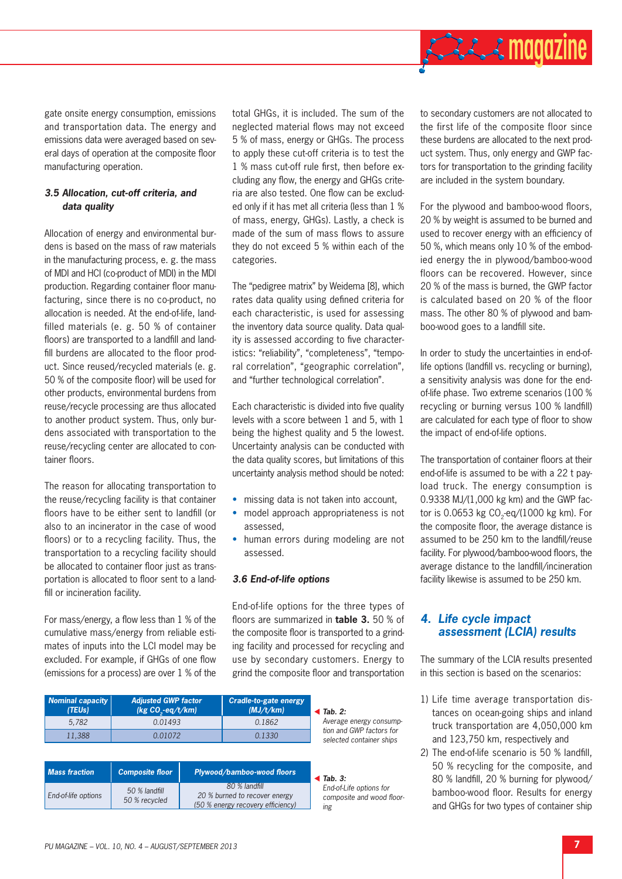

gate onsite energy consumption, emissions and transportation data. The energy and emissions data were averaged based on several days of operation at the composite floor manufacturing operation.

#### *3.5 Allocation, cut-off criteria, and data quality*

Allocation of energy and environmental burdens is based on the mass of raw materials in the manufacturing process, e. g. the mass of MDI and HCl (co-product of MDI) in the MDI production. Regarding container floor manufacturing, since there is no co-product, no allocation is needed. At the end-of-life, landfilled materials (e. g. 50 % of container floors) are transported to a landfill and landfill burdens are allocated to the floor product. Since reused/recycled materials (e. g. 50 % of the composite floor) will be used for other products, environmental burdens from reuse/recycle processing are thus allocated to another product system. Thus, only burdens associated with transportation to the reuse/recycling center are allocated to container floors.

The reason for allocating transportation to the reuse/recycling facility is that container floors have to be either sent to landfill (or also to an incinerator in the case of wood floors) or to a recycling facility. Thus, the transportation to a recycling facility should be allocated to container floor just as transportation is allocated to floor sent to a landfill or incineration facility.

For mass/energy, a flow less than  $1\%$  of the cumulative mass/energy from reliable estimates of inputs into the LCI model may be excluded. For example, if GHGs of one flow (emissions for a process) are over 1 % of the total GHGs, it is included. The sum of the neglected material flows may not exceed 5 % of mass, energy or GHGs. The process to apply these cut-off criteria is to test the 1 % mass cut-off rule first, then before excluding any flow, the energy and GHGs criteria are also tested. One flow can be excluded only if it has met all criteria (less than 1 % of mass, energy, GHGs). Lastly, a check is made of the sum of mass flows to assure they do not exceed 5 % within each of the categories.

The "pedigree matrix" by Weidema [8], which rates data quality using defined criteria for each characteristic, is used for assessing the inventory data source quality. Data quality is assessed according to five characteristics: "reliability", "completeness", "temporal correlation", "geographic correlation", and "further technological correlation".

Each characteristic is divided into five quality levels with a score between 1 and 5, with 1 being the highest quality and 5 the lowest. Uncertainty analysis can be conducted with the data quality scores, but limitations of this uncertainty analysis method should be noted:

- missing data is not taken into account,
- model approach appropriateness is not assessed,
- human errors during modeling are not assessed.

#### *3.6 End-of-life options*

End-of-life options for the three types of floors are summarized in **table 3.** 50 % of the composite floor is transported to a grinding facility and processed for recycling and use by secondary customers. Energy to grind the composite floor and transportation

| <b>Nominal capacity</b><br>(TEUs) | <b>Adjusted GWP factor</b><br>(kg CO, eq/t/km) | Cradle-to-gate energy<br>(MJ/t/km) | $\triangleleft$ Tab. 2:                              |
|-----------------------------------|------------------------------------------------|------------------------------------|------------------------------------------------------|
| 5.782                             | 0.01493                                        | 0.1862                             | Average energy consump-                              |
| 11.388                            | 0.01072                                        | 0.1330                             | tion and GWP factors for<br>selected container ships |
|                                   |                                                |                                    |                                                      |

| <b>Mass fraction</b> | <b>Composite floor</b>         | Plywood/bamboo-wood floors                                                          | $\blacksquare$ Tab. 3:                                      |
|----------------------|--------------------------------|-------------------------------------------------------------------------------------|-------------------------------------------------------------|
| End-of-life options  | 50 % landfill<br>50 % recycled | 80 % landfill<br>20 % burned to recover energy<br>(50 % energy recovery efficiency) | End-of-Life options for<br>composite and wood floor-<br>ing |

to secondary customers are not allocated to the first life of the composite floor since these burdens are allocated to the next product system. Thus, only energy and GWP factors for transportation to the grinding facility are included in the system boundary.

For the plywood and bamboo-wood floors. 20 % by weight is assumed to be burned and used to recover energy with an efficiency of 50 %, which means only 10 % of the embodied energy the in plywood/bamboo-wood floors can be recovered. However, since 20 % of the mass is burned, the GWP factor is calculated based on 20 % of the floor mass. The other 80 % of plywood and bamboo-wood goes to a landfill site.

In order to study the uncertainties in end-oflife options (landfill vs. recycling or burning), a sensitivity analysis was done for the endof-life phase. Two extreme scenarios (100 % recycling or burning versus 100 % landfill) are calculated for each type of floor to show the impact of end-of-life options.

The transportation of container floors at their end-of-life is assumed to be with a 22 t payload truck. The energy consumption is 0.9338 MJ/(1,000 kg km) and the GWP factor is 0.0653 kg  $CO<sub>2</sub>$ -eq/(1000 kg km). For the composite floor, the average distance is assumed to be 250 km to the landfill/reuse facility. For plywood/bamboo-wood floors, the average distance to the landfill/incineration facility likewise is assumed to be 250 km.

## *4. Life cycle impact assessment (LCIA) results*

The summary of the LCIA results presented in this section is based on the scenarios:

- 1) Life time average transportation distances on ocean-going ships and inland truck transportation are 4,050,000 km and 123,750 km, respectively and
- 2) The end-of-life scenario is  $50%$  landfill, 50 % recycling for the composite, and 80 % landfill, 20 % burning for plywood/ bamboo-wood floor. Results for energy and GHGs for two types of container ship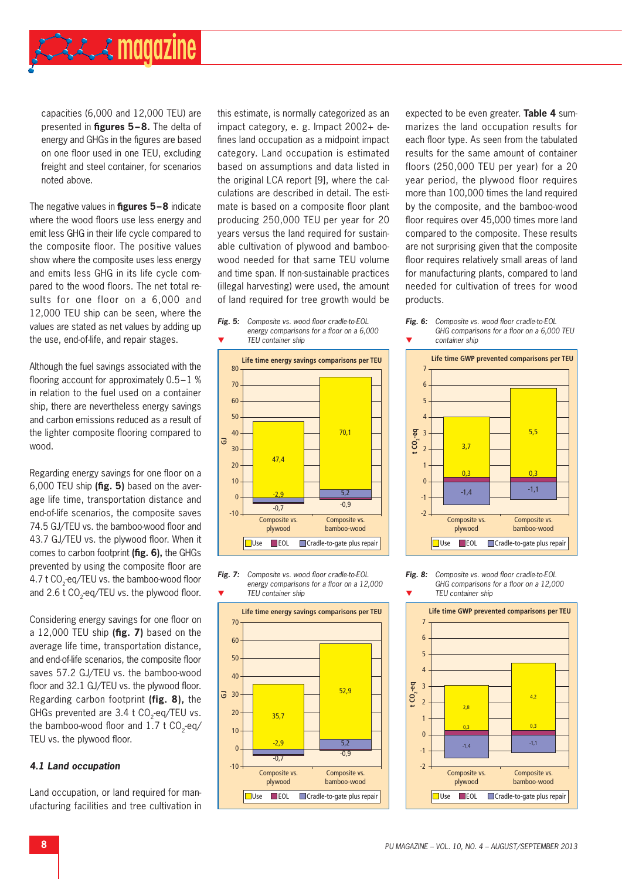

capacities (6,000 and 12,000 TEU) are presented in **figures 5-8.** The delta of energy and GHGs in the figures are based on one floor used in one TEU, excluding freight and steel container, for scenarios noted above.

The negative values in **figures 5-8** indicate where the wood floors use less energy and emit less GHG in their life cycle compared to the composite floor. The positive values show where the composite uses less energy and emits less GHG in its life cycle compared to the wood floors. The net total results for one floor on a 6,000 and 12,000 TEU ship can be seen, where the values are stated as net values by adding up the use, end-of-life, and repair stages.

Although the fuel savings associated with the flooring account for approximately  $0.5 - 1$  % in relation to the fuel used on a container ship, there are nevertheless energy savings and carbon emissions reduced as a result of the lighter composite flooring compared to wood.

Regarding energy savings for one floor on a 6,000 TEU ship (fig. 5) based on the average life time, transportation distance and end-of-life scenarios, the composite saves 74.5 GJ/TEU vs. the bamboo-wood floor and 43.7 GJ/TEU vs. the plywood floor. When it comes to carbon footprint (fig. 6), the GHGs prevented by using the composite floor are 4.7 t CO<sub>2</sub>-eq/TEU vs. the bamboo-wood floor and  $2.6$  t CO<sub>2</sub>-eq/TEU vs. the plywood floor.

Considering energy savings for one floor on a 12,000 TEU ship (fig. 7) based on the average life time, transportation distance, and end-of-life scenarios, the composite floor saves 57.2 GJ/TEU vs. the bamboo-wood floor and 32.1 GJ/TEU vs. the plywood floor. Regarding carbon footprint **(fig. 8),** the GHGs prevented are 3.4 t CO<sub>2</sub>-eq/TEU vs. the bamboo-wood floor and  $1.7 \text{ t } CO$ <sub>-eq/</sub> TEU vs. the plywood floor.

#### *4.1 Land occupation*

Land occupation, or land required for manufacturing facilities and tree cultivation in this estimate, is normally categorized as an impact category, e. g. Impact 2002+ defines land occupation as a midpoint impact category. Land occupation is estimated based on assumptions and data listed in the original LCA report [9], where the calculations are described in detail. The estimate is based on a composite floor plant producing 250,000 TEU per year for 20 years versus the land required for sustainable cultivation of plywood and bamboowood needed for that same TEU volume and time span. If non-sustainable practices (illegal harvesting) were used, the amount of land required for tree growth would be









expected to be even greater. **Table 4** summarizes the land occupation results for each floor type. As seen from the tabulated results for the same amount of container floors (250,000 TEU per year) for a 20 year period, the plywood floor requires more than 100,000 times the land required by the composite, and the bamboo-wood floor requires over 45,000 times more land compared to the composite. These results are not surprising given that the composite floor requires relatively small areas of land for manufacturing plants, compared to land needed for cultivation of trees for wood products.